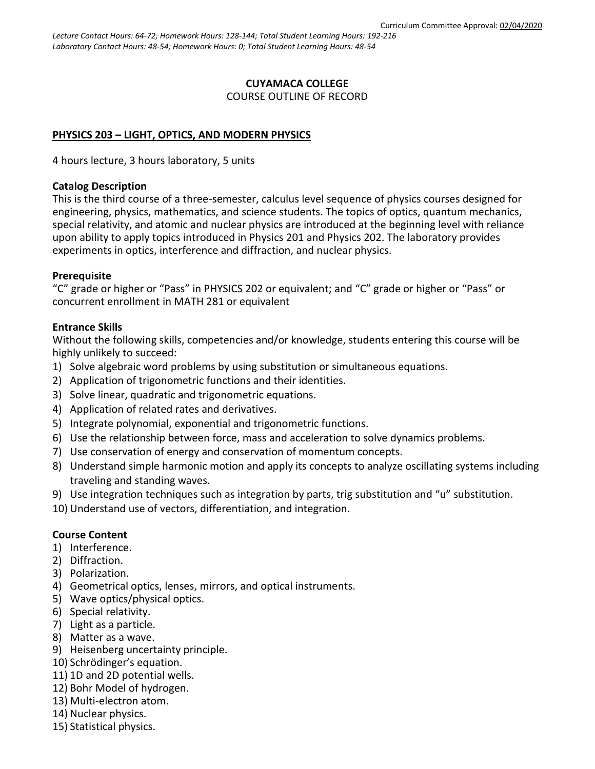#### **CUYAMACA COLLEGE** COURSE OUTLINE OF RECORD

# **PHYSICS 203 – LIGHT, OPTICS, AND MODERN PHYSICS**

4 hours lecture, 3 hours laboratory, 5 units

#### **Catalog Description**

This is the third course of a three-semester, calculus level sequence of physics courses designed for engineering, physics, mathematics, and science students. The topics of optics, quantum mechanics, special relativity, and atomic and nuclear physics are introduced at the beginning level with reliance upon ability to apply topics introduced in Physics 201 and Physics 202. The laboratory provides experiments in optics, interference and diffraction, and nuclear physics.

#### **Prerequisite**

"C" grade or higher or "Pass" in PHYSICS 202 or equivalent; and "C" grade or higher or "Pass" or concurrent enrollment in MATH 281 or equivalent

#### **Entrance Skills**

Without the following skills, competencies and/or knowledge, students entering this course will be highly unlikely to succeed:

- 1) Solve algebraic word problems by using substitution or simultaneous equations.
- 2) Application of trigonometric functions and their identities.
- 3) Solve linear, quadratic and trigonometric equations.
- 4) Application of related rates and derivatives.
- 5) Integrate polynomial, exponential and trigonometric functions.
- 6) Use the relationship between force, mass and acceleration to solve dynamics problems.
- 7) Use conservation of energy and conservation of momentum concepts.
- 8) Understand simple harmonic motion and apply its concepts to analyze oscillating systems including traveling and standing waves.
- 9) Use integration techniques such as integration by parts, trig substitution and "u" substitution.
- 10) Understand use of vectors, differentiation, and integration.

#### **Course Content**

- 1) Interference.
- 2) Diffraction.
- 3) Polarization.
- 4) Geometrical optics, lenses, mirrors, and optical instruments.
- 5) Wave optics/physical optics.
- 6) Special relativity.
- 7) Light as a particle.
- 8) Matter as a wave.
- 9) Heisenberg uncertainty principle.
- 10) Schrödinger's equation.
- 11) 1D and 2D potential wells.
- 12) Bohr Model of hydrogen.
- 13) Multi-electron atom.
- 14) Nuclear physics.
- 15) Statistical physics.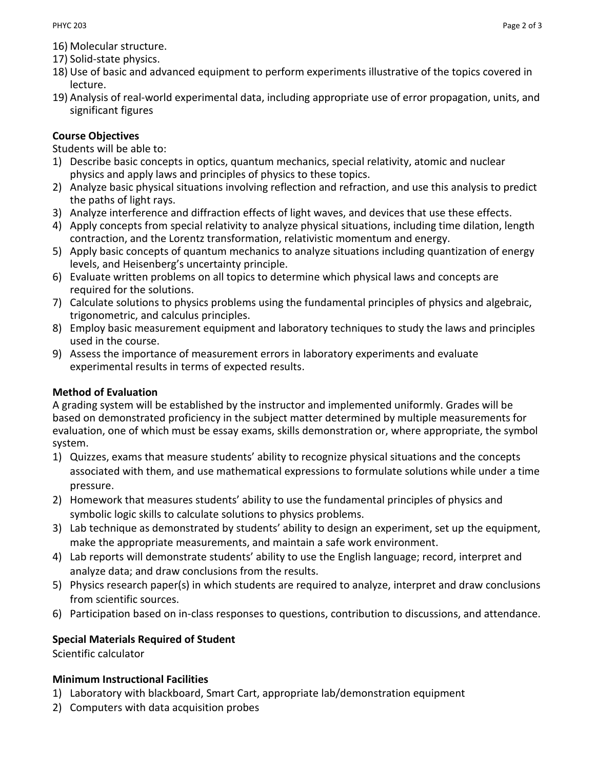- 16) Molecular structure.
- 17) Solid-state physics.
- 18) Use of basic and advanced equipment to perform experiments illustrative of the topics covered in lecture.
- 19) Analysis of real-world experimental data, including appropriate use of error propagation, units, and significant figures

# **Course Objectives**

Students will be able to:

- 1) Describe basic concepts in optics, quantum mechanics, special relativity, atomic and nuclear physics and apply laws and principles of physics to these topics.
- 2) Analyze basic physical situations involving reflection and refraction, and use this analysis to predict the paths of light rays.
- 3) Analyze interference and diffraction effects of light waves, and devices that use these effects.
- 4) Apply concepts from special relativity to analyze physical situations, including time dilation, length contraction, and the Lorentz transformation, relativistic momentum and energy.
- 5) Apply basic concepts of quantum mechanics to analyze situations including quantization of energy levels, and Heisenberg's uncertainty principle.
- 6) Evaluate written problems on all topics to determine which physical laws and concepts are required for the solutions.
- 7) Calculate solutions to physics problems using the fundamental principles of physics and algebraic, trigonometric, and calculus principles.
- 8) Employ basic measurement equipment and laboratory techniques to study the laws and principles used in the course.
- 9) Assess the importance of measurement errors in laboratory experiments and evaluate experimental results in terms of expected results.

# **Method of Evaluation**

A grading system will be established by the instructor and implemented uniformly. Grades will be based on demonstrated proficiency in the subject matter determined by multiple measurements for evaluation, one of which must be essay exams, skills demonstration or, where appropriate, the symbol system.

- 1) Quizzes, exams that measure students' ability to recognize physical situations and the concepts associated with them, and use mathematical expressions to formulate solutions while under a time pressure.
- 2) Homework that measures students' ability to use the fundamental principles of physics and symbolic logic skills to calculate solutions to physics problems.
- 3) Lab technique as demonstrated by students' ability to design an experiment, set up the equipment, make the appropriate measurements, and maintain a safe work environment.
- 4) Lab reports will demonstrate students' ability to use the English language; record, interpret and analyze data; and draw conclusions from the results.
- 5) Physics research paper(s) in which students are required to analyze, interpret and draw conclusions from scientific sources.
- 6) Participation based on in-class responses to questions, contribution to discussions, and attendance.

# **Special Materials Required of Student**

Scientific calculator

# **Minimum Instructional Facilities**

- 1) Laboratory with blackboard, Smart Cart, appropriate lab/demonstration equipment
- 2) Computers with data acquisition probes